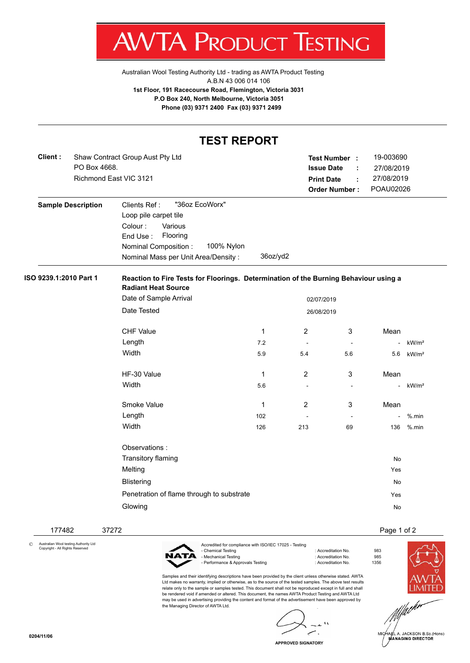AV V IA. PRODU К **ESTING** ı

[Australian Wool Testing Authority Ltd - trading as AWTA Product Testing](http://www.awtaproducttesting.com.au/) A.B.N 43 006 014 106 **1st Floor, 191 Racecourse Road, Flemington, Victoria 3031 P.O Box 240, North Melbourne, Victoria 3051 Phone (03) 9371 2400 Fax (03) 9371 2499**

## **TEST REPORT**

| Client:                | PO Box 4668.              | Shaw Contract Group Aust Pty Ltd<br>Richmond East VIC 3121                                                                                                                         |                                                                                      | <b>Print Date</b> | Test Number :<br><b>Issue Date</b><br>÷<br>÷<br><b>Order Number:</b> | 19-003690<br>27/08/2019<br>27/08/2019<br>POAU02026 |                   |
|------------------------|---------------------------|------------------------------------------------------------------------------------------------------------------------------------------------------------------------------------|--------------------------------------------------------------------------------------|-------------------|----------------------------------------------------------------------|----------------------------------------------------|-------------------|
|                        | <b>Sample Description</b> | "36oz EcoWorx"<br>Clients Ref:<br>Loop pile carpet tile<br>Colour:<br>Various<br>Flooring<br>End Use:<br>100% Nylon<br>Nominal Composition:<br>Nominal Mass per Unit Area/Density: | 36oz/yd2                                                                             |                   |                                                                      |                                                    |                   |
| ISO 9239.1:2010 Part 1 |                           | <b>Radiant Heat Source</b>                                                                                                                                                         | Reaction to Fire Tests for Floorings. Determination of the Burning Behaviour using a |                   |                                                                      |                                                    |                   |
|                        |                           | Date of Sample Arrival                                                                                                                                                             |                                                                                      | 02/07/2019        |                                                                      |                                                    |                   |
|                        |                           | Date Tested                                                                                                                                                                        |                                                                                      | 26/08/2019        |                                                                      |                                                    |                   |
|                        |                           | <b>CHF Value</b>                                                                                                                                                                   | $\mathbf{1}$                                                                         | $\overline{2}$    | 3                                                                    | Mean                                               |                   |
|                        |                           | Length                                                                                                                                                                             | 7.2                                                                                  |                   |                                                                      |                                                    | kW/m <sup>2</sup> |
|                        |                           | Width                                                                                                                                                                              | 5.9                                                                                  | 5.4               | 5.6                                                                  | 5.6                                                | kW/m <sup>2</sup> |
|                        |                           | HF-30 Value                                                                                                                                                                        | 1                                                                                    | $\overline{2}$    | 3                                                                    | Mean                                               |                   |
|                        |                           | Width                                                                                                                                                                              | 5.6                                                                                  | $\sim$            | $\blacksquare$                                                       | $\overline{\phantom{a}}$                           | kW/m <sup>2</sup> |
|                        |                           | Smoke Value                                                                                                                                                                        | $\mathbf{1}$                                                                         | $\overline{2}$    | 3                                                                    | Mean                                               |                   |
|                        |                           | Length                                                                                                                                                                             | 102                                                                                  |                   | $\sim$                                                               |                                                    | $%$ .min          |
|                        |                           | Width                                                                                                                                                                              | 126                                                                                  | 213               | 69                                                                   | 136                                                | $%$ .min          |
|                        |                           | Observations :                                                                                                                                                                     |                                                                                      |                   |                                                                      |                                                    |                   |
|                        |                           | Transitory flaming                                                                                                                                                                 |                                                                                      |                   |                                                                      | No                                                 |                   |
|                        |                           | Melting                                                                                                                                                                            |                                                                                      |                   |                                                                      | Yes                                                |                   |
|                        |                           | <b>Blistering</b>                                                                                                                                                                  |                                                                                      |                   |                                                                      | No                                                 |                   |
|                        |                           | Penetration of flame through to substrate                                                                                                                                          |                                                                                      |                   |                                                                      | Yes                                                |                   |
|                        |                           | Glowing                                                                                                                                                                            |                                                                                      |                   |                                                                      | No                                                 |                   |

© Australian Wool testing Authority Ltd Copyright - All Rights Reserved

177482 37272 Page 1 of 2



the Managing Director of AWTA Ltd.

Accredited for compliance with ISO/IEC 17025 - Testing - Mechanical Testing in a state of the control of Accreditation No. 985<br>- Performance & Approvals Testing in the control of Accreditation No. 61356 - Performance & Approvals Testing

Samples and their identifying descriptions have been provided by the client unless otherwise stated. AWTA Ltd makes no warranty, implied or otherwise, as to the source of the tested samples. The above test results relate only to the sample or samples tested. This document shall not be reproduced except in full and shall be rendered void if amended or altered. This document, the names AWTA Product Testing and AWTA Ltd may be used in advertising providing the content and format of the advertisement have been approved by

: Accreditation No. 983<br>: Accreditation No. 985



.<br>IA∉L A. JACKSON B.Sc.(Hons)<br>MANAGING DIRECTOR

**APPROVED SIGNATORY**

 $\mathbf{r}$ ۰